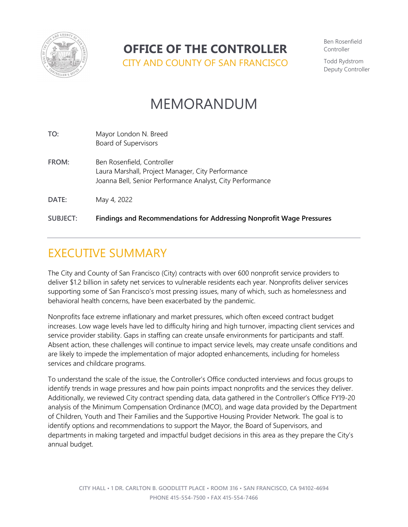

## **OFFICE OF THE CONTROLLER**

CITY AND COUNTY OF SAN FRANCISCO

Ben Rosenfield Controller

Todd Rydstrom Deputy Controller

# MEMORANDUM

| TO:             | Mayor London N. Breed<br>Board of Supervisors                                                                                                |
|-----------------|----------------------------------------------------------------------------------------------------------------------------------------------|
| FROM:           | Ben Rosenfield, Controller<br>Laura Marshall, Project Manager, City Performance<br>Joanna Bell, Senior Performance Analyst, City Performance |
| DATE:           | May 4, 2022                                                                                                                                  |
| <b>SUBJECT:</b> | <b>Findings and Recommendations for Addressing Nonprofit Wage Pressures</b>                                                                  |

# EXECUTIVE SUMMARY

The City and County of San Francisco (City) contracts with over 600 nonprofit service providers to deliver \$1.2 billion in safety net services to vulnerable residents each year. Nonprofits deliver services supporting some of San Francisco's most pressing issues, many of which, such as homelessness and behavioral health concerns, have been exacerbated by the pandemic.

Nonprofits face extreme inflationary and market pressures, which often exceed contract budget increases. Low wage levels have led to difficulty hiring and high turnover, impacting client services and service provider stability. Gaps in staffing can create unsafe environments for participants and staff. Absent action, these challenges will continue to impact service levels, may create unsafe conditions and are likely to impede the implementation of major adopted enhancements, including for homeless services and childcare programs.

To understand the scale of the issue, the Controller's Office conducted interviews and focus groups to identify trends in wage pressures and how pain points impact nonprofits and the services they deliver. Additionally, we reviewed City contract spending data, data gathered in the Controller's Office FY19-20 analysis of the Minimum Compensation Ordinance (MCO), and wage data provided by the Department of Children, Youth and Their Families and the Supportive Housing Provider Network. The goal is to identify options and recommendations to support the Mayor, the Board of Supervisors, and departments in making targeted and impactful budget decisions in this area as they prepare the City's annual budget.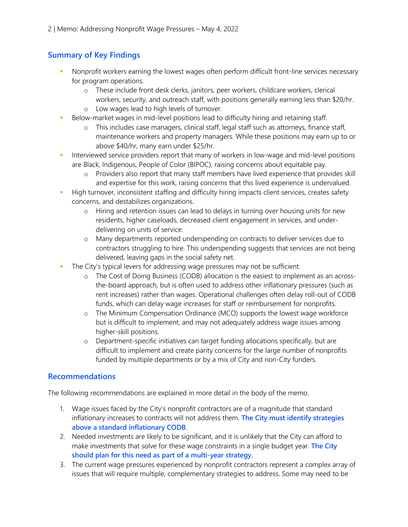## **Summary of Key Findings**

- Nonprofit workers earning the lowest wages often perform difficult front-line services necessary for program operations.
	- o These include front desk clerks, janitors, peer workers, childcare workers, clerical workers, security, and outreach staff, with positions generally earning less than \$20/hr. o Low wages lead to high levels of turnover.
- Below-market wages in mid-level positions lead to difficulty hiring and retaining staff.
	- o This includes case managers, clinical staff, legal staff such as attorneys, finance staff, maintenance workers and property managers. While these positions may earn up to or above \$40/hr, many earn under \$25/hr.
- Interviewed service providers report that many of workers in low-wage and mid-level positions are Black, Indigenous, People of Color (BIPOC), raising concerns about equitable pay.
	- o Providers also report that many staff members have lived experience that provides skill and expertise for this work, raising concerns that this lived experience is undervalued.
- High turnover, inconsistent staffing and difficulty hiring impacts client services, creates safety concerns, and destabilizes organizations.
	- o Hiring and retention issues can lead to delays in turning over housing units for new residents, higher caseloads, decreased client engagement in services, and underdelivering on units of service.
	- o Many departments reported underspending on contracts to deliver services due to contractors struggling to hire. This underspending suggests that services are not being delivered, leaving gaps in the social safety net.
- The City's typical levers for addressing wage pressures may not be sufficient.
	- o The Cost of Doing Business (CODB) allocation is the easiest to implement as an acrossthe-board approach, but is often used to address other inflationary pressures (such as rent increases) rather than wages. Operational challenges often delay roll-out of CODB funds, which can delay wage increases for staff or reimbursement for nonprofits.
	- o The Minimum Compensation Ordinance (MCO) supports the lowest wage workforce but is difficult to implement, and may not adequately address wage issues among higher-skill positions.
	- o Department-specific initiatives can target funding allocations specifically, but are difficult to implement and create parity concerns for the large number of nonprofits funded by multiple departments or by a mix of City and non-City funders.

#### **Recommendations**

The following recommendations are explained in more detail in the body of the memo.

- 1. Wage issues faced by the City's nonprofit contractors are of a magnitude that standard inflationary increases to contracts will not address them. **The City must identify strategies above a standard inflationary CODB**.
- 2. Needed investments are likely to be significant, and it is unlikely that the City can afford to make investments that solve for these wage constraints in a single budget year. **The City should plan for this need as part of a multi-year strategy**.
- 3. The current wage pressures experienced by nonprofit contractors represent a complex array of issues that will require multiple, complementary strategies to address. Some may need to be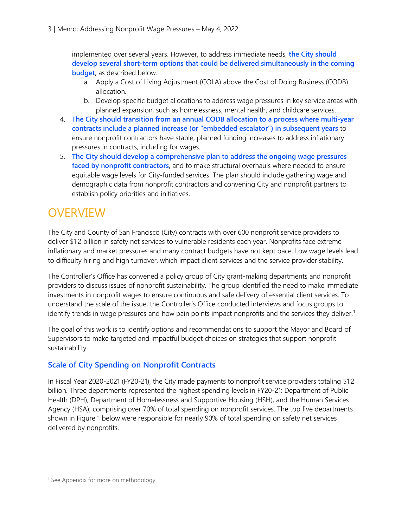implemented over several years. However, to address immediate needs, **the City should develop several short-term options that could be delivered simultaneously in the coming budget**, as described below.

- a. Apply a Cost of Living Adjustment (COLA) above the Cost of Doing Business (CODB) allocation.
- b. Develop specific budget allocations to address wage pressures in key service areas with planned expansion, such as homelessness, mental health, and childcare services.
- 4. **The City should transition from an annual CODB allocation to a process where multi-year contracts include a planned increase (or "embedded escalator") in subsequent years** to ensure nonprofit contractors have stable, planned funding increases to address inflationary pressures in contracts, including for wages.
- 5. **The City should develop a comprehensive plan to address the ongoing wage pressures faced by nonprofit contractors**, and to make structural overhauls where needed to ensure equitable wage levels for City-funded services. The plan should include gathering wage and demographic data from nonprofit contractors and convening City and nonprofit partners to establish policy priorities and initiatives.

## **OVERVIEW**

The City and County of San Francisco (City) contracts with over 600 nonprofit service providers to deliver \$1.2 billion in safety net services to vulnerable residents each year. Nonprofits face extreme inflationary and market pressures and many contract budgets have not kept pace. Low wage levels lead to difficulty hiring and high turnover, which impact client services and the service provider stability.

The Controller's Office has convened a policy group of City grant-making departments and nonprofit providers to discuss issues of nonprofit sustainability. The group identified the need to make immediate investments in nonprofit wages to ensure continuous and safe delivery of essential client services. To understand the scale of the issue, the Controller's Office conducted interviews and focus groups to identify trends in wage pressures and how pain points impact nonprofits and the services they deliver.<sup>[1](#page-2-0)</sup>

The goal of this work is to identify options and recommendations to support the Mayor and Board of Supervisors to make targeted and impactful budget choices on strategies that support nonprofit sustainability.

### **Scale of City Spending on Nonprofit Contracts**

In Fiscal Year 2020-2021 (FY20-21), the City made payments to nonprofit service providers totaling \$1.2 billion. Three departments represented the highest spending levels in FY20-21: Department of Public Health (DPH), Department of Homelessness and Supportive Housing (HSH), and the Human Services Agency (HSA), comprising over 70% of total spending on nonprofit services. The top five departments shown in Figure 1 below were responsible for nearly 90% of total spending on safety net services delivered by nonprofits.

<span id="page-2-0"></span><sup>&</sup>lt;sup>1</sup> See Appendix for more on methodology.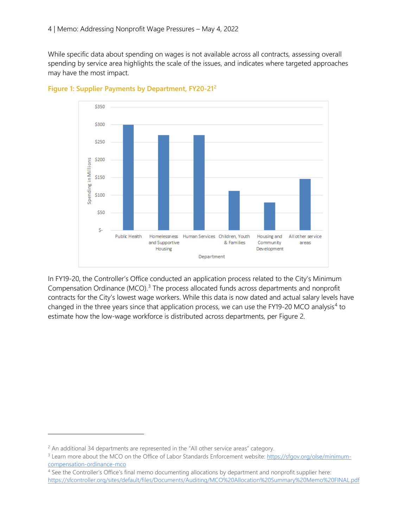While specific data about spending on wages is not available across all contracts, assessing overall spending by service area highlights the scale of the issues, and indicates where targeted approaches may have the most impact.



**Figure 1: Supplier Payments by Department, FY20-21[2](#page-3-0)**

In FY19-20, the Controller's Office conducted an application process related to the City's Minimum Compensation Ordinance (MCO).<sup>[3](#page-3-1)</sup> The process allocated funds across departments and nonprofit contracts for the City's lowest wage workers. While this data is now dated and actual salary levels have changed in the three years since that application process, we can use the FY19-20 MCO analysis<sup>[4](#page-3-2)</sup> to estimate how the low-wage workforce is distributed across departments, per Figure 2.

<span id="page-3-0"></span><sup>&</sup>lt;sup>2</sup> An additional 34 departments are represented in the "All other service areas" category.

<span id="page-3-1"></span><sup>&</sup>lt;sup>3</sup> Learn more about the MCO on the Office of Labor Standards Enforcement website[: https://sfgov.org/olse/minimum](https://sfgov.org/olse/minimum-compensation-ordinance-mco)[compensation-ordinance-mco](https://sfgov.org/olse/minimum-compensation-ordinance-mco)

<span id="page-3-2"></span><sup>4</sup> See the Controller's Office's final memo documenting allocations by department and nonprofit supplier here: <https://sfcontroller.org/sites/default/files/Documents/Auditing/MCO%20Allocation%20Summary%20Memo%20FINAL.pdf>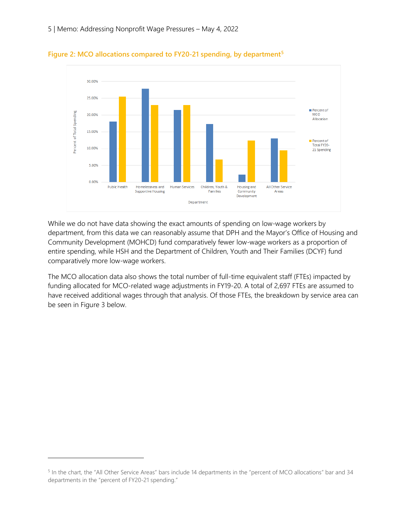

**Figure 2: MCO allocations compared to FY20-21 spending, by department[5](#page-4-0)**

While we do not have data showing the exact amounts of spending on low-wage workers by department, from this data we can reasonably assume that DPH and the Mayor's Office of Housing and Community Development (MOHCD) fund comparatively fewer low-wage workers as a proportion of entire spending, while HSH and the Department of Children, Youth and Their Families (DCYF) fund comparatively more low-wage workers.

The MCO allocation data also shows the total number of full-time equivalent staff (FTEs) impacted by funding allocated for MCO-related wage adjustments in FY19-20. A total of 2,697 FTEs are assumed to have received additional wages through that analysis. Of those FTEs, the breakdown by service area can be seen in Figure 3 below.

<span id="page-4-0"></span><sup>5</sup> In the chart, the "All Other Service Areas" bars include 14 departments in the "percent of MCO allocations" bar and 34 departments in the "percent of FY20-21 spending."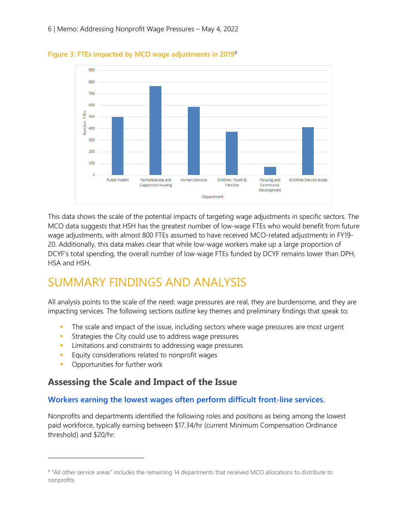

**Figure 3: FTEs impacted by MCO wage adjustments in 2019**[6](#page-5-0)

This data shows the scale of the potential impacts of targeting wage adjustments in specific sectors. The MCO data suggests that HSH has the greatest number of low-wage FTEs who would benefit from future wage adjustments, with almost 800 FTEs assumed to have received MCO-related adjustments in FY19- 20. Additionally, this data makes clear that while low-wage workers make up a large proportion of DCYF's total spending, the overall number of low-wage FTEs funded by DCYF remains lower than DPH, HSA and HSH.

# SUMMARY FINDINGS AND ANALYSIS

All analysis points to the scale of the need: wage pressures are real, they are burdensome, and they are impacting services. The following sections outline key themes and preliminary findings that speak to:

- The scale and impact of the issue, including sectors where wage pressures are most urgent
- **Strategies the City could use to address wage pressures**
- **EXECUTE:** Limitations and constraints to addressing wage pressures
- **Equity considerations related to nonprofit wages**
- **•** Opportunities for further work

## **Assessing the Scale and Impact of the Issue**

#### **Workers earning the lowest wages often perform difficult front-line services.**

Nonprofits and departments identified the following roles and positions as being among the lowest paid workforce, typically earning between \$17.34/hr (current Minimum Compensation Ordinance threshold) and \$20/hr:

<span id="page-5-0"></span><sup>6</sup> "All other service areas" includes the remaining 14 departments that received MCO allocations to distribute to nonprofits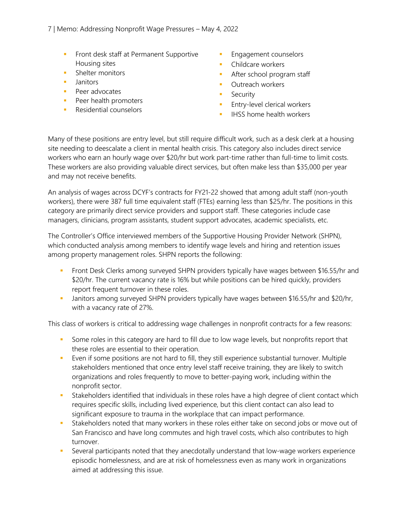- **Ficht desk staff at Permanent Supportive** Housing sites
- **Shelter monitors**
- **Janitors**
- **Peer advocates**
- **Peer health promoters**
- **Residential counselors**
- Engagement counselors
- Childcare workers
- **After school program staff**
- **Cutreach workers**
- **Security**
- **Entry-level clerical workers**
- $\blacksquare$  IHSS home health workers

Many of these positions are entry level, but still require difficult work, such as a desk clerk at a housing site needing to deescalate a client in mental health crisis. This category also includes direct service workers who earn an hourly wage over \$20/hr but work part-time rather than full-time to limit costs. These workers are also providing valuable direct services, but often make less than \$35,000 per year and may not receive benefits.

An analysis of wages across DCYF's contracts for FY21-22 showed that among adult staff (non-youth workers), there were 387 full time equivalent staff (FTEs) earning less than \$25/hr. The positions in this category are primarily direct service providers and support staff. These categories include case managers, clinicians, program assistants, student support advocates, academic specialists, etc.

The Controller's Office interviewed members of the Supportive Housing Provider Network (SHPN), which conducted analysis among members to identify wage levels and hiring and retention issues among property management roles. SHPN reports the following:

- **Front Desk Clerks among surveyed SHPN providers typically have wages between \$16.55/hr and** \$20/hr. The current vacancy rate is 16% but while positions can be hired quickly, providers report frequent turnover in these roles.
- Janitors among surveyed SHPN providers typically have wages between \$16.55/hr and \$20/hr, with a vacancy rate of 27%.

This class of workers is critical to addressing wage challenges in nonprofit contracts for a few reasons:

- Some roles in this category are hard to fill due to low wage levels, but nonprofits report that these roles are essential to their operation.
- Even if some positions are not hard to fill, they still experience substantial turnover. Multiple stakeholders mentioned that once entry level staff receive training, they are likely to switch organizations and roles frequently to move to better-paying work, including within the nonprofit sector.
- **Stakeholders identified that individuals in these roles have a high degree of client contact which** requires specific skills, including lived experience, but this client contact can also lead to significant exposure to trauma in the workplace that can impact performance.
- Stakeholders noted that many workers in these roles either take on second jobs or move out of San Francisco and have long commutes and high travel costs, which also contributes to high turnover.
- Several participants noted that they anecdotally understand that low-wage workers experience episodic homelessness, and are at risk of homelessness even as many work in organizations aimed at addressing this issue.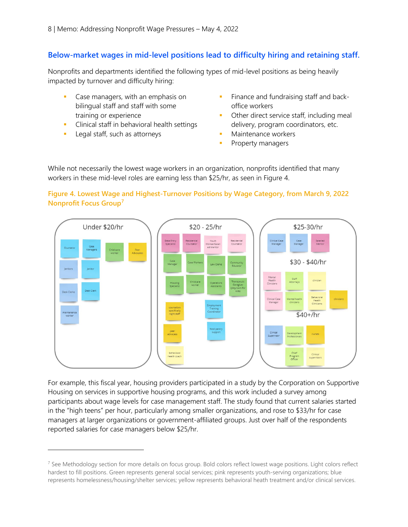#### **Below-market wages in mid-level positions lead to difficulty hiring and retaining staff.**

Nonprofits and departments identified the following types of mid-level positions as being heavily impacted by turnover and difficulty hiring:

- Case managers, with an emphasis on bilingual staff and staff with some training or experience
- **Clinical staff in behavioral health settings**
- **Legal staff, such as attorneys**
- Finance and fundraising staff and backoffice workers
- Other direct service staff, including meal delivery, program coordinators, etc.
- Maintenance workers
- **Property managers**

While not necessarily the lowest wage workers in an organization, nonprofits identified that many workers in these mid-level roles are earning less than \$25/hr, as seen in Figure 4.

#### **Figure 4. Lowest Wage and Highest-Turnover Positions by Wage Category, from March 9, 2022 Nonprofit Focus Group[7](#page-7-0)**



For example, this fiscal year, housing providers participated in a study by the Corporation on Supportive Housing on services in supportive housing programs, and this work included a survey among participants about wage levels for case management staff. The study found that current salaries started in the "high teens" per hour, particularly among smaller organizations, and rose to \$33/hr for case managers at larger organizations or government-affiliated groups. Just over half of the respondents reported salaries for case managers below \$25/hr.

<span id="page-7-0"></span><sup>&</sup>lt;sup>7</sup> See Methodology section for more details on focus group. Bold colors reflect lowest wage positions. Light colors reflect hardest to fill positions. Green represents general social services; pink represents youth-serving organizations; blue represents homelessness/housing/shelter services; yellow represents behavioral heath treatment and/or clinical services.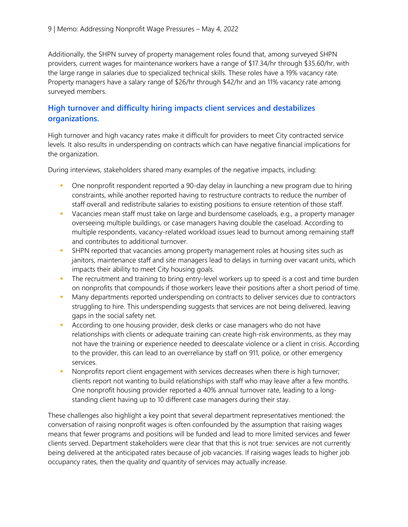Additionally, the SHPN survey of property management roles found that, among surveyed SHPN providers, current wages for maintenance workers have a range of \$17.34/hr through \$35.60/hr, with the large range in salaries due to specialized technical skills. These roles have a 19% vacancy rate. Property managers have a salary range of \$26/hr through \$42/hr and an 11% vacancy rate among surveyed members.

#### **High turnover and difficulty hiring impacts client services and destabilizes organizations.**

High turnover and high vacancy rates make it difficult for providers to meet City contracted service levels. It also results in underspending on contracts which can have negative financial implications for the organization.

During interviews, stakeholders shared many examples of the negative impacts, including:

- One nonprofit respondent reported a 90-day delay in launching a new program due to hiring constraints, while another reported having to restructure contracts to reduce the number of staff overall and redistribute salaries to existing positions to ensure retention of those staff.
- Vacancies mean staff must take on large and burdensome caseloads, e.g., a property manager overseeing multiple buildings, or case managers having double the caseload. According to multiple respondents, vacancy-related workload issues lead to burnout among remaining staff and contributes to additional turnover.
- **SHPN** reported that vacancies among property management roles at housing sites such as janitors, maintenance staff and site managers lead to delays in turning over vacant units, which impacts their ability to meet City housing goals.
- The recruitment and training to bring entry-level workers up to speed is a cost and time burden on nonprofits that compounds if those workers leave their positions after a short period of time.
- Many departments reported underspending on contracts to deliver services due to contractors struggling to hire. This underspending suggests that services are not being delivered, leaving gaps in the social safety net.
- **According to one housing provider, desk clerks or case managers who do not have** relationships with clients or adequate training can create high-risk environments, as they may not have the training or experience needed to deescalate violence or a client in crisis. According to the provider, this can lead to an overreliance by staff on 911, police, or other emergency services.
- Nonprofits report client engagement with services decreases when there is high turnover; clients report not wanting to build relationships with staff who may leave after a few months. One nonprofit housing provider reported a 40% annual turnover rate, leading to a longstanding client having up to 10 different case managers during their stay.

These challenges also highlight a key point that several department representatives mentioned: the conversation of raising nonprofit wages is often confounded by the assumption that raising wages means that fewer programs and positions will be funded and lead to more limited services and fewer clients served. Department stakeholders were clear that that this is not true: services are not currently being delivered at the anticipated rates because of job vacancies. If raising wages leads to higher job occupancy rates, then the quality *and* quantity of services may actually increase.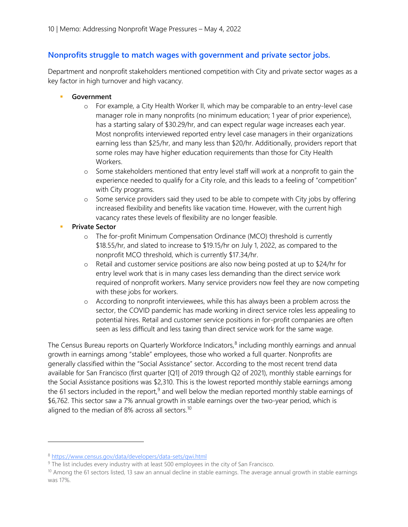#### **Nonprofits struggle to match wages with government and private sector jobs.**

Department and nonprofit stakeholders mentioned competition with City and private sector wages as a key factor in high turnover and high vacancy.

- **Government**
	- o For example, a City Health Worker II, which may be comparable to an entry-level case manager role in many nonprofits (no minimum education; 1 year of prior experience), has a starting salary of \$30.29/hr, and can expect regular wage increases each year. Most nonprofits interviewed reported entry level case managers in their organizations earning less than \$25/hr, and many less than \$20/hr. Additionally, providers report that some roles may have higher education requirements than those for City Health Workers.
	- o Some stakeholders mentioned that entry level staff will work at a nonprofit to gain the experience needed to qualify for a City role, and this leads to a feeling of "competition" with City programs.
	- o Some service providers said they used to be able to compete with City jobs by offering increased flexibility and benefits like vacation time. However, with the current high vacancy rates these levels of flexibility are no longer feasible.
- **Private Sector**
	- o The for-profit Minimum Compensation Ordinance (MCO) threshold is currently \$18.55/hr, and slated to increase to \$19.15/hr on July 1, 2022, as compared to the nonprofit MCO threshold, which is currently \$17.34/hr.
	- o Retail and customer service positions are also now being posted at up to \$24/hr for entry level work that is in many cases less demanding than the direct service work required of nonprofit workers. Many service providers now feel they are now competing with these jobs for workers.
	- o According to nonprofit interviewees, while this has always been a problem across the sector, the COVID pandemic has made working in direct service roles less appealing to potential hires. Retail and customer service positions in for-profit companies are often seen as less difficult and less taxing than direct service work for the same wage.

The Census Bureau reports on Quarterly Workforce Indicators, $8$  including monthly earnings and annual growth in earnings among "stable" employees, those who worked a full quarter. Nonprofits are generally classified within the "Social Assistance" sector. According to the most recent trend data available for San Francisco (first quarter [Q1] of 2019 through Q2 of 2021), monthly stable earnings for the Social Assistance positions was \$2,310. This is the lowest reported monthly stable earnings among the 61 sectors included in the report,<sup>[9](#page-9-1)</sup> and well below the median reported monthly stable earnings of \$6,762. This sector saw a 7% annual growth in stable earnings over the two-year period, which is aligned to the median of 8% across all sectors.<sup>10</sup>

<span id="page-9-0"></span><sup>8</sup> <https://www.census.gov/data/developers/data-sets/qwi.html>

<span id="page-9-1"></span><sup>&</sup>lt;sup>9</sup> The list includes every industry with at least 500 employees in the city of San Francisco.

<span id="page-9-2"></span> $10$  Among the 61 sectors listed, 13 saw an annual decline in stable earnings. The average annual growth in stable earnings was 17%.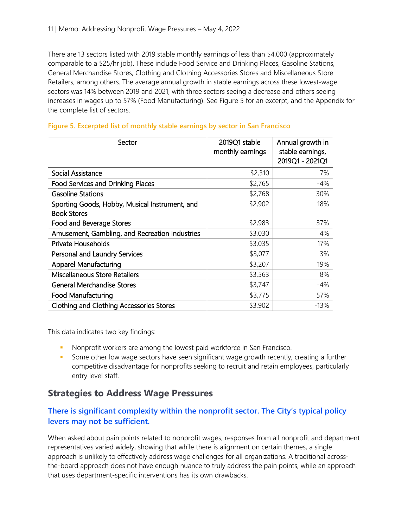There are 13 sectors listed with 2019 stable monthly earnings of less than \$4,000 (approximately comparable to a \$25/hr job). These include Food Service and Drinking Places, Gasoline Stations, General Merchandise Stores, Clothing and Clothing Accessories Stores and Miscellaneous Store Retailers, among others. The average annual growth in stable earnings across these lowest-wage sectors was 14% between 2019 and 2021, with three sectors seeing a decrease and others seeing increases in wages up to 57% (Food Manufacturing). See Figure 5 for an excerpt, and the Appendix for the complete list of sectors.

| Sector                                                               | 2019Q1 stable<br>monthly earnings | Annual growth in<br>stable earnings,<br>2019Q1 - 2021Q1 |
|----------------------------------------------------------------------|-----------------------------------|---------------------------------------------------------|
| <b>Social Assistance</b>                                             | \$2,310                           | 7%                                                      |
| <b>Food Services and Drinking Places</b>                             | \$2,765                           | $-4%$                                                   |
| <b>Gasoline Stations</b>                                             | \$2,768                           | 30%                                                     |
| Sporting Goods, Hobby, Musical Instrument, and<br><b>Book Stores</b> | \$2,902                           | 18%                                                     |
| Food and Beverage Stores                                             | \$2,983                           | 37%                                                     |
| Amusement, Gambling, and Recreation Industries                       | \$3,030                           | 4%                                                      |
| Private Households                                                   | \$3,035                           | 17%                                                     |
| Personal and Laundry Services                                        | \$3,077                           | 3%                                                      |
| <b>Apparel Manufacturing</b>                                         | \$3,207                           | 19%                                                     |
| <b>Miscellaneous Store Retailers</b>                                 | \$3,563                           | 8%                                                      |
| <b>General Merchandise Stores</b>                                    | \$3,747                           | $-4%$                                                   |
| <b>Food Manufacturing</b>                                            | \$3,775                           | 57%                                                     |
| <b>Clothing and Clothing Accessories Stores</b>                      | \$3,902                           | $-13%$                                                  |

#### **Figure 5. Excerpted list of monthly stable earnings by sector in San Francisco**

This data indicates two key findings:

- Nonprofit workers are among the lowest paid workforce in San Francisco.
- **Some other low wage sectors have seen significant wage growth recently, creating a further** competitive disadvantage for nonprofits seeking to recruit and retain employees, particularly entry level staff.

### **Strategies to Address Wage Pressures**

#### **There is significant complexity within the nonprofit sector. The City's typical policy levers may not be sufficient.**

When asked about pain points related to nonprofit wages, responses from all nonprofit and department representatives varied widely, showing that while there is alignment on certain themes, a single approach is unlikely to effectively address wage challenges for all organizations. A traditional acrossthe-board approach does not have enough nuance to truly address the pain points, while an approach that uses department-specific interventions has its own drawbacks.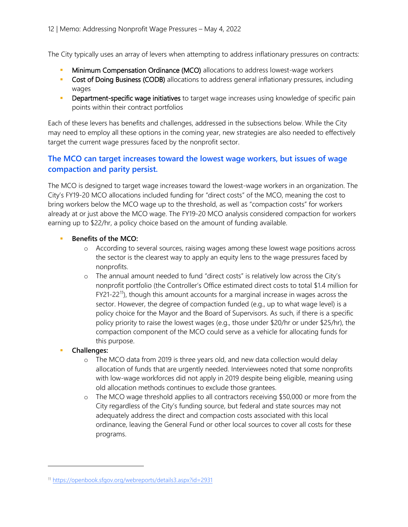The City typically uses an array of levers when attempting to address inflationary pressures on contracts:

- Minimum Compensation Ordinance (MCO) allocations to address lowest-wage workers
- **Cost of Doing Business (CODB)** allocations to address general inflationary pressures, including wages
- **-** Department-specific wage initiatives to target wage increases using knowledge of specific pain points within their contract portfolios

Each of these levers has benefits and challenges, addressed in the subsections below. While the City may need to employ all these options in the coming year, new strategies are also needed to effectively target the current wage pressures faced by the nonprofit sector.

#### **The MCO can target increases toward the lowest wage workers, but issues of wage compaction and parity persist.**

The MCO is designed to target wage increases toward the lowest-wage workers in an organization. The City's FY19-20 MCO allocations included funding for "direct costs" of the MCO, meaning the cost to bring workers below the MCO wage up to the threshold, as well as "compaction costs" for workers already at or just above the MCO wage. The FY19-20 MCO analysis considered compaction for workers earning up to \$22/hr, a policy choice based on the amount of funding available.

- **Benefits of the MCO:**
	- o According to several sources, raising wages among these lowest wage positions across the sector is the clearest way to apply an equity lens to the wage pressures faced by nonprofits.
	- o The annual amount needed to fund "direct costs" is relatively low across the City's nonprofit portfolio (the Controller's Office estimated direct costs to total \$1.4 million for FY21-22[11](#page-11-0)), though this amount accounts for a marginal increase in wages across the sector. However, the degree of compaction funded (e.g., up to what wage level) is a policy choice for the Mayor and the Board of Supervisors. As such, if there is a specific policy priority to raise the lowest wages (e.g., those under \$20/hr or under \$25/hr), the compaction component of the MCO could serve as a vehicle for allocating funds for this purpose.
- **Challenges:**
	- o The MCO data from 2019 is three years old, and new data collection would delay allocation of funds that are urgently needed. Interviewees noted that some nonprofits with low-wage workforces did not apply in 2019 despite being eligible, meaning using old allocation methods continues to exclude those grantees.
	- o The MCO wage threshold applies to all contractors receiving \$50,000 or more from the City regardless of the City's funding source, but federal and state sources may not adequately address the direct and compaction costs associated with this local ordinance, leaving the General Fund or other local sources to cover all costs for these programs.

<span id="page-11-0"></span><sup>11</sup> <https://openbook.sfgov.org/webreports/details3.aspx?id=2931>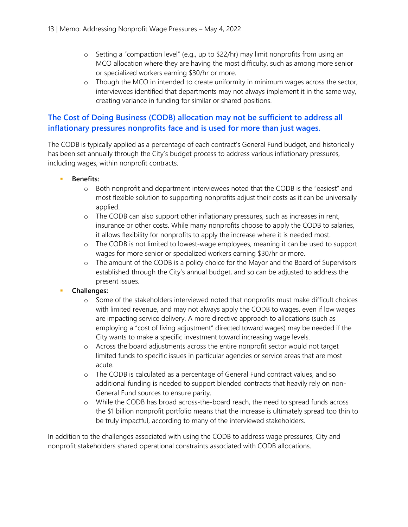- $\circ$  Setting a "compaction level" (e.g., up to \$22/hr) may limit nonprofits from using an MCO allocation where they are having the most difficulty, such as among more senior or specialized workers earning \$30/hr or more.
- o Though the MCO in intended to create uniformity in minimum wages across the sector, interviewees identified that departments may not always implement it in the same way, creating variance in funding for similar or shared positions.

#### **The Cost of Doing Business (CODB) allocation may not be sufficient to address all inflationary pressures nonprofits face and is used for more than just wages.**

The CODB is typically applied as a percentage of each contract's General Fund budget, and historically has been set annually through the City's budget process to address various inflationary pressures, including wages, within nonprofit contracts.

- **Benefits:** 
	- o Both nonprofit and department interviewees noted that the CODB is the "easiest" and most flexible solution to supporting nonprofits adjust their costs as it can be universally applied.
	- o The CODB can also support other inflationary pressures, such as increases in rent, insurance or other costs. While many nonprofits choose to apply the CODB to salaries, it allows flexibility for nonprofits to apply the increase where it is needed most.
	- o The CODB is not limited to lowest-wage employees, meaning it can be used to support wages for more senior or specialized workers earning \$30/hr or more.
	- o The amount of the CODB is a policy choice for the Mayor and the Board of Supervisors established through the City's annual budget, and so can be adjusted to address the present issues.
- **Challenges:** 
	- o Some of the stakeholders interviewed noted that nonprofits must make difficult choices with limited revenue, and may not always apply the CODB to wages, even if low wages are impacting service delivery. A more directive approach to allocations (such as employing a "cost of living adjustment" directed toward wages) may be needed if the City wants to make a specific investment toward increasing wage levels.
	- o Across the board adjustments across the entire nonprofit sector would not target limited funds to specific issues in particular agencies or service areas that are most acute.
	- o The CODB is calculated as a percentage of General Fund contract values, and so additional funding is needed to support blended contracts that heavily rely on non-General Fund sources to ensure parity.
	- o While the CODB has broad across-the-board reach, the need to spread funds across the \$1 billion nonprofit portfolio means that the increase is ultimately spread too thin to be truly impactful, according to many of the interviewed stakeholders.

In addition to the challenges associated with using the CODB to address wage pressures, City and nonprofit stakeholders shared operational constraints associated with CODB allocations.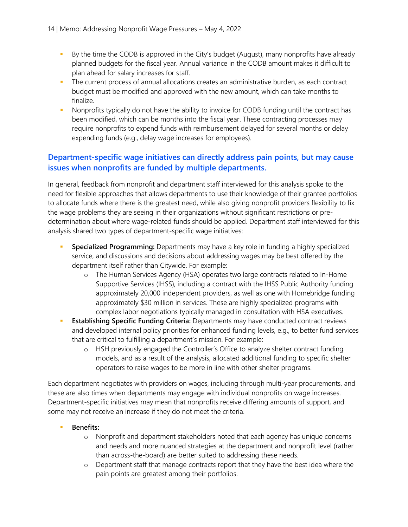- By the time the CODB is approved in the City's budget (August), many nonprofits have already planned budgets for the fiscal year. Annual variance in the CODB amount makes it difficult to plan ahead for salary increases for staff.
- The current process of annual allocations creates an administrative burden, as each contract budget must be modified and approved with the new amount, which can take months to finalize.
- Nonprofits typically do not have the ability to invoice for CODB funding until the contract has been modified, which can be months into the fiscal year. These contracting processes may require nonprofits to expend funds with reimbursement delayed for several months or delay expending funds (e.g., delay wage increases for employees).

#### **Department-specific wage initiatives can directly address pain points, but may cause issues when nonprofits are funded by multiple departments.**

In general, feedback from nonprofit and department staff interviewed for this analysis spoke to the need for flexible approaches that allows departments to use their knowledge of their grantee portfolios to allocate funds where there is the greatest need, while also giving nonprofit providers flexibility to fix the wage problems they are seeing in their organizations without significant restrictions or predetermination about where wage-related funds should be applied. Department staff interviewed for this analysis shared two types of department-specific wage initiatives:

- **Specialized Programming:** Departments may have a key role in funding a highly specialized service, and discussions and decisions about addressing wages may be best offered by the department itself rather than Citywide. For example:
	- o The Human Services Agency (HSA) operates two large contracts related to In-Home Supportive Services (IHSS), including a contract with the IHSS Public Authority funding approximately 20,000 independent providers, as well as one with Homebridge funding approximately \$30 million in services. These are highly specialized programs with complex labor negotiations typically managed in consultation with HSA executives.
- **Establishing Specific Funding Criteria:** Departments may have conducted contract reviews and developed internal policy priorities for enhanced funding levels, e.g., to better fund services that are critical to fulfilling a department's mission. For example:
	- o HSH previously engaged the Controller's Office to analyze shelter contract funding models, and as a result of the analysis, allocated additional funding to specific shelter operators to raise wages to be more in line with other shelter programs.

Each department negotiates with providers on wages, including through multi-year procurements, and these are also times when departments may engage with individual nonprofits on wage increases. Department-specific initiatives may mean that nonprofits receive differing amounts of support, and some may not receive an increase if they do not meet the criteria.

- **Benefits:** 
	- o Nonprofit and department stakeholders noted that each agency has unique concerns and needs and more nuanced strategies at the department and nonprofit level (rather than across-the-board) are better suited to addressing these needs.
	- o Department staff that manage contracts report that they have the best idea where the pain points are greatest among their portfolios.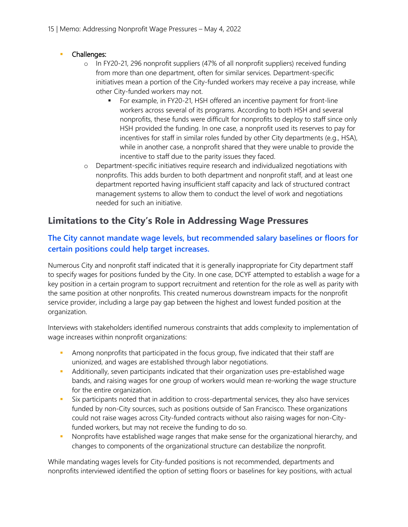#### **Challenges:**

- o In FY20-21, 296 nonprofit suppliers (47% of all nonprofit suppliers) received funding from more than one department, often for similar services. Department-specific initiatives mean a portion of the City-funded workers may receive a pay increase, while other City-funded workers may not.
	- For example, in FY20-21, HSH offered an incentive payment for front-line workers across several of its programs. According to both HSH and several nonprofits, these funds were difficult for nonprofits to deploy to staff since only HSH provided the funding. In one case, a nonprofit used its reserves to pay for incentives for staff in similar roles funded by other City departments (e.g., HSA), while in another case, a nonprofit shared that they were unable to provide the incentive to staff due to the parity issues they faced.
- o Department-specific initiatives require research and individualized negotiations with nonprofits. This adds burden to both department and nonprofit staff, and at least one department reported having insufficient staff capacity and lack of structured contract management systems to allow them to conduct the level of work and negotiations needed for such an initiative.

## **Limitations to the City's Role in Addressing Wage Pressures**

#### **The City cannot mandate wage levels, but recommended salary baselines or floors for certain positions could help target increases.**

Numerous City and nonprofit staff indicated that it is generally inappropriate for City department staff to specify wages for positions funded by the City. In one case, DCYF attempted to establish a wage for a key position in a certain program to support recruitment and retention for the role as well as parity with the same position at other nonprofits. This created numerous downstream impacts for the nonprofit service provider, including a large pay gap between the highest and lowest funded position at the organization.

Interviews with stakeholders identified numerous constraints that adds complexity to implementation of wage increases within nonprofit organizations:

- Among nonprofits that participated in the focus group, five indicated that their staff are unionized, and wages are established through labor negotiations.
- Additionally, seven participants indicated that their organization uses pre-established wage bands, and raising wages for one group of workers would mean re-working the wage structure for the entire organization.
- Six participants noted that in addition to cross-departmental services, they also have services funded by non-City sources, such as positions outside of San Francisco. These organizations could not raise wages across City-funded contracts without also raising wages for non-Cityfunded workers, but may not receive the funding to do so.
- **Nonprofits have established wage ranges that make sense for the organizational hierarchy, and** changes to components of the organizational structure can destabilize the nonprofit.

While mandating wages levels for City-funded positions is not recommended, departments and nonprofits interviewed identified the option of setting floors or baselines for key positions, with actual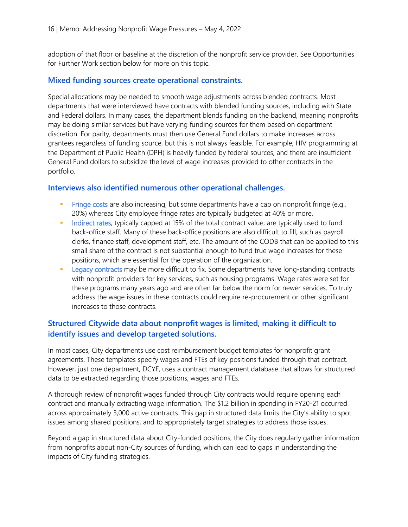adoption of that floor or baseline at the discretion of the nonprofit service provider. See Opportunities for Further Work section below for more on this topic.

#### **Mixed funding sources create operational constraints.**

Special allocations may be needed to smooth wage adjustments across blended contracts. Most departments that were interviewed have contracts with blended funding sources, including with State and Federal dollars. In many cases, the department blends funding on the backend, meaning nonprofits may be doing similar services but have varying funding sources for them based on department discretion. For parity, departments must then use General Fund dollars to make increases across grantees regardless of funding source, but this is not always feasible. For example, HIV programming at the Department of Public Health (DPH) is heavily funded by federal sources, and there are insufficient General Fund dollars to subsidize the level of wage increases provided to other contracts in the portfolio.

#### **Interviews also identified numerous other operational challenges.**

- **Fringe costs are also increasing, but some departments have a cap on nonprofit fringe (e.g.,** 20%) whereas City employee fringe rates are typically budgeted at 40% or more.
- Indirect rates, typically capped at 15% of the total contract value, are typically used to fund back-office staff. Many of these back-office positions are also difficult to fill, such as payroll clerks, finance staff, development staff, etc. The amount of the CODB that can be applied to this small share of the contract is not substantial enough to fund true wage increases for these positions, which are essential for the operation of the organization.
- **Example 20 Equacy contracts may be more difficult to fix. Some departments have long-standing contracts** with nonprofit providers for key services, such as housing programs. Wage rates were set for these programs many years ago and are often far below the norm for newer services. To truly address the wage issues in these contracts could require re-procurement or other significant increases to those contracts.

#### **Structured Citywide data about nonprofit wages is limited, making it difficult to identify issues and develop targeted solutions.**

In most cases, City departments use cost reimbursement budget templates for nonprofit grant agreements. These templates specify wages and FTEs of key positions funded through that contract. However, just one department, DCYF, uses a contract management database that allows for structured data to be extracted regarding those positions, wages and FTEs.

A thorough review of nonprofit wages funded through City contracts would require opening each contract and manually extracting wage information. The \$1.2 billion in spending in FY20-21 occurred across approximately 3,000 active contracts. This gap in structured data limits the City's ability to spot issues among shared positions, and to appropriately target strategies to address those issues.

Beyond a gap in structured data about City-funded positions, the City does regularly gather information from nonprofits about non-City sources of funding, which can lead to gaps in understanding the impacts of City funding strategies.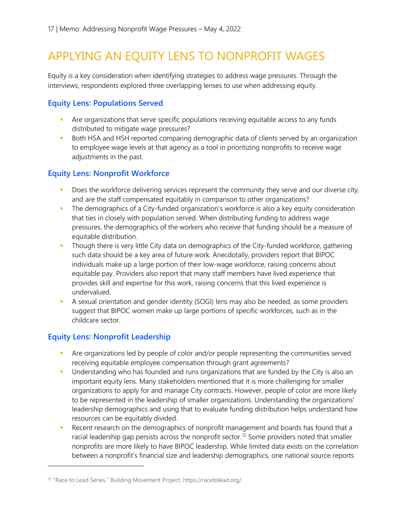# APPLYING AN EQUITY LENS TO NONPROFIT WAGES

Equity is a key consideration when identifying strategies to address wage pressures. Through the interviews, respondents explored three overlapping lenses to use when addressing equity.

#### **Equity Lens: Populations Served**

- **•** Are organizations that serve specific populations receiving equitable access to any funds distributed to mitigate wage pressures?
- Both HSA and HSH reported comparing demographic data of clients served by an organization to employee wage levels at that agency as a tool in prioritizing nonprofits to receive wage adjustments in the past.

#### **Equity Lens: Nonprofit Workforce**

- Does the workforce delivering services represent the community they serve and our diverse city, and are the staff compensated equitably in comparison to other organizations?
- The demographics of a City-funded organization's workforce is also a key equity consideration that ties in closely with population served. When distributing funding to address wage pressures, the demographics of the workers who receive that funding should be a measure of equitable distribution.
- **Though there is very little City data on demographics of the City-funded workforce, gathering** such data should be a key area of future work. Anecdotally, providers report that BIPOC individuals make up a large portion of their low-wage workforce, raising concerns about equitable pay. Providers also report that many staff members have lived experience that provides skill and expertise for this work, raising concerns that this lived experience is undervalued.
- A sexual orientation and gender identity (SOGI) lens may also be needed, as some providers suggest that BIPOC women make up large portions of specific workforces, such as in the childcare sector.

### **Equity Lens: Nonprofit Leadership**

- **•** Are organizations led by people of color and/or people representing the communities served receiving equitable employee compensation through grant agreements?
- **Understanding who has founded and runs organizations that are funded by the City is also an** important equity lens. Many stakeholders mentioned that it is more challenging for smaller organizations to apply for and manage City contracts. However, people of color are more likely to be represented in the leadership of smaller organizations. Understanding the organizations' leadership demographics and using that to evaluate funding distribution helps understand how resources can be equitably divided.
- Recent research on the demographics of nonprofit management and boards has found that a racial leadership gap persists across the nonprofit sector.<sup>[12](#page-16-0)</sup> Some providers noted that smaller nonprofits are more likely to have BIPOC leadership. While limited data exists on the correlation between a nonprofit's financial size and leadership demographics, one national source reports

<span id="page-16-0"></span><sup>12</sup> "Race to Lead Series," Building Movement Project. https://racetolead.org/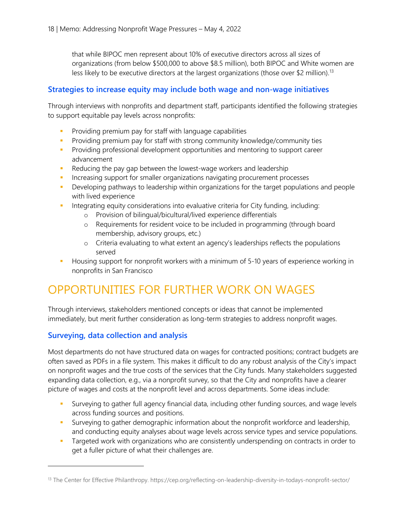that while BIPOC men represent about 10% of executive directors across all sizes of organizations (from below \$500,000 to above \$8.5 million), both BIPOC and White women are less likely to be executive directors at the largest organizations (those over \$2 million).<sup>[13](#page-17-0)</sup>

#### **Strategies to increase equity may include both wage and non-wage initiatives**

Through interviews with nonprofits and department staff, participants identified the following strategies to support equitable pay levels across nonprofits:

- **Providing premium pay for staff with language capabilities**
- **Providing premium pay for staff with strong community knowledge/community ties**
- **Providing professional development opportunities and mentoring to support career** advancement
- Reducing the pay gap between the lowest-wage workers and leadership
- **Increasing support for smaller organizations navigating procurement processes**
- **Developing pathways to leadership within organizations for the target populations and people** with lived experience
- Integrating equity considerations into evaluative criteria for City funding, including:
	- o Provision of bilingual/bicultural/lived experience differentials
	- o Requirements for resident voice to be included in programming (through board membership, advisory groups, etc.)
	- o Criteria evaluating to what extent an agency's leaderships reflects the populations served
- **Housing support for nonprofit workers with a minimum of 5-10 years of experience working in** nonprofits in San Francisco

# OPPORTUNITIES FOR FURTHER WORK ON WAGES

Through interviews, stakeholders mentioned concepts or ideas that cannot be implemented immediately, but merit further consideration as long-term strategies to address nonprofit wages.

#### **Surveying, data collection and analysis**

Most departments do not have structured data on wages for contracted positions; contract budgets are often saved as PDFs in a file system. This makes it difficult to do any robust analysis of the City's impact on nonprofit wages and the true costs of the services that the City funds. Many stakeholders suggested expanding data collection, e.g., via a nonprofit survey, so that the City and nonprofits have a clearer picture of wages and costs at the nonprofit level and across departments. Some ideas include:

- Surveying to gather full agency financial data, including other funding sources, and wage levels across funding sources and positions.
- Surveying to gather demographic information about the nonprofit workforce and leadership, and conducting equity analyses about wage levels across service types and service populations.
- Targeted work with organizations who are consistently underspending on contracts in order to get a fuller picture of what their challenges are.

<span id="page-17-0"></span><sup>&</sup>lt;sup>13</sup> The Center for Effective Philanthropy. https://cep.org/reflecting-on-leadership-diversity-in-todays-nonprofit-sector/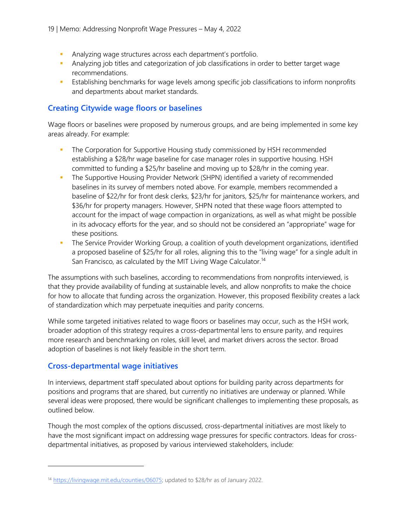- Analyzing wage structures across each department's portfolio.
- Analyzing job titles and categorization of job classifications in order to better target wage recommendations.
- **Establishing benchmarks for wage levels among specific job classifications to inform nonprofits** and departments about market standards.

#### **Creating Citywide wage floors or baselines**

Wage floors or baselines were proposed by numerous groups, and are being implemented in some key areas already. For example:

- The Corporation for Supportive Housing study commissioned by HSH recommended establishing a \$28/hr wage baseline for case manager roles in supportive housing. HSH committed to funding a \$25/hr baseline and moving up to \$28/hr in the coming year.
- **The Supportive Housing Provider Network (SHPN) identified a variety of recommended** baselines in its survey of members noted above. For example, members recommended a baseline of \$22/hr for front desk clerks, \$23/hr for janitors, \$25/hr for maintenance workers, and \$36/hr for property managers. However, SHPN noted that these wage floors attempted to account for the impact of wage compaction in organizations, as well as what might be possible in its advocacy efforts for the year, and so should not be considered an "appropriate" wage for these positions.
- **The Service Provider Working Group, a coalition of youth development organizations, identified** a proposed baseline of \$25/hr for all roles, aligning this to the "living wage" for a single adult in San Francisco, as calculated by the MIT Living Wage Calculator.<sup>[14](#page-18-0)</sup>

The assumptions with such baselines, according to recommendations from nonprofits interviewed, is that they provide availability of funding at sustainable levels, and allow nonprofits to make the choice for how to allocate that funding across the organization. However, this proposed flexibility creates a lack of standardization which may perpetuate inequities and parity concerns.

While some targeted initiatives related to wage floors or baselines may occur, such as the HSH work, broader adoption of this strategy requires a cross-departmental lens to ensure parity, and requires more research and benchmarking on roles, skill level, and market drivers across the sector. Broad adoption of baselines is not likely feasible in the short term.

#### **Cross-departmental wage initiatives**

In interviews, department staff speculated about options for building parity across departments for positions and programs that are shared, but currently no initiatives are underway or planned. While several ideas were proposed, there would be significant challenges to implementing these proposals, as outlined below.

Though the most complex of the options discussed, cross-departmental initiatives are most likely to have the most significant impact on addressing wage pressures for specific contractors. Ideas for crossdepartmental initiatives, as proposed by various interviewed stakeholders, include:

<span id="page-18-0"></span><sup>&</sup>lt;sup>14</sup> [https://livingwage.mit.edu/counties/06075;](https://livingwage.mit.edu/counties/06075) updated to \$28/hr as of January 2022.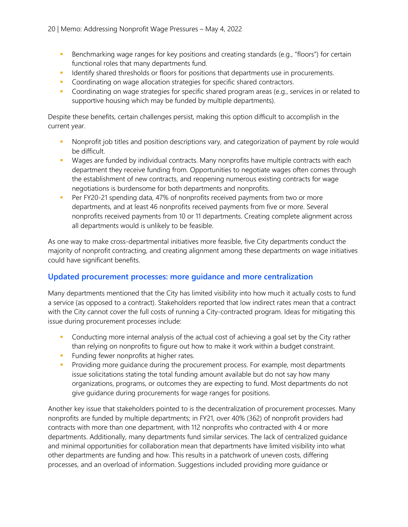- Benchmarking wage ranges for key positions and creating standards (e.g., "floors") for certain functional roles that many departments fund.
- Identify shared thresholds or floors for positions that departments use in procurements.
- Coordinating on wage allocation strategies for specific shared contractors.
- Coordinating on wage strategies for specific shared program areas (e.g., services in or related to supportive housing which may be funded by multiple departments).

Despite these benefits, certain challenges persist, making this option difficult to accomplish in the current year.

- Nonprofit job titles and position descriptions vary, and categorization of payment by role would be difficult.
- **Wages are funded by individual contracts. Many nonprofits have multiple contracts with each** department they receive funding from. Opportunities to negotiate wages often comes through the establishment of new contracts, and reopening numerous existing contracts for wage negotiations is burdensome for both departments and nonprofits.
- **Per FY20-21 spending data, 47% of nonprofits received payments from two or more** departments, and at least 46 nonprofits received payments from five or more. Several nonprofits received payments from 10 or 11 departments. Creating complete alignment across all departments would is unlikely to be feasible.

As one way to make cross-departmental initiatives more feasible, five City departments conduct the majority of nonprofit contracting, and creating alignment among these departments on wage initiatives could have significant benefits.

#### **Updated procurement processes: more guidance and more centralization**

Many departments mentioned that the City has limited visibility into how much it actually costs to fund a service (as opposed to a contract). Stakeholders reported that low indirect rates mean that a contract with the City cannot cover the full costs of running a City-contracted program. Ideas for mitigating this issue during procurement processes include:

- Conducting more internal analysis of the actual cost of achieving a goal set by the City rather than relying on nonprofits to figure out how to make it work within a budget constraint.
- **Funding fewer nonprofits at higher rates.**
- **Providing more guidance during the procurement process. For example, most departments** issue solicitations stating the total funding amount available but do not say how many organizations, programs, or outcomes they are expecting to fund. Most departments do not give guidance during procurements for wage ranges for positions.

Another key issue that stakeholders pointed to is the decentralization of procurement processes. Many nonprofits are funded by multiple departments; in FY21, over 40% (362) of nonprofit providers had contracts with more than one department, with 112 nonprofits who contracted with 4 or more departments. Additionally, many departments fund similar services. The lack of centralized guidance and minimal opportunities for collaboration mean that departments have limited visibility into what other departments are funding and how. This results in a patchwork of uneven costs, differing processes, and an overload of information. Suggestions included providing more guidance or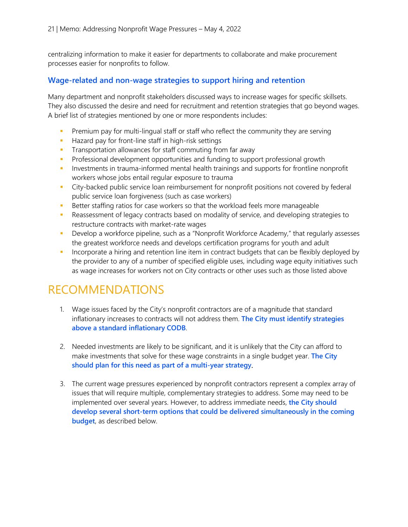centralizing information to make it easier for departments to collaborate and make procurement processes easier for nonprofits to follow.

#### **Wage-related and non-wage strategies to support hiring and retention**

Many department and nonprofit stakeholders discussed ways to increase wages for specific skillsets. They also discussed the desire and need for recruitment and retention strategies that go beyond wages. A brief list of strategies mentioned by one or more respondents includes:

- **Premium pay for multi-lingual staff or staff who reflect the community they are serving**
- **Hazard pay for front-line staff in high-risk settings**
- **Transportation allowances for staff commuting from far away**
- **Professional development opportunities and funding to support professional growth**
- **Investments in trauma-informed mental health trainings and supports for frontline nonprofit** workers whose jobs entail regular exposure to trauma
- City-backed public service loan reimbursement for nonprofit positions not covered by federal public service loan forgiveness (such as case workers)
- Better staffing ratios for case workers so that the workload feels more manageable
- **•** Reassessment of legacy contracts based on modality of service, and developing strategies to restructure contracts with market-rate wages
- **Develop a workforce pipeline, such as a "Nonprofit Workforce Academy," that regularly assesses** the greatest workforce needs and develops certification programs for youth and adult
- **Incorporate a hiring and retention line item in contract budgets that can be flexibly deployed by** the provider to any of a number of specified eligible uses, including wage equity initiatives such as wage increases for workers not on City contracts or other uses such as those listed above

## RECOMMENDATIONS

- 1. Wage issues faced by the City's nonprofit contractors are of a magnitude that standard inflationary increases to contracts will not address them. **The City must identify strategies above a standard inflationary CODB**.
- 2. Needed investments are likely to be significant, and it is unlikely that the City can afford to make investments that solve for these wage constraints in a single budget year. **The City should plan for this need as part of a multi-year strategy**.
- 3. The current wage pressures experienced by nonprofit contractors represent a complex array of issues that will require multiple, complementary strategies to address. Some may need to be implemented over several years. However, to address immediate needs, **the City should develop several short-term options that could be delivered simultaneously in the coming budget**, as described below.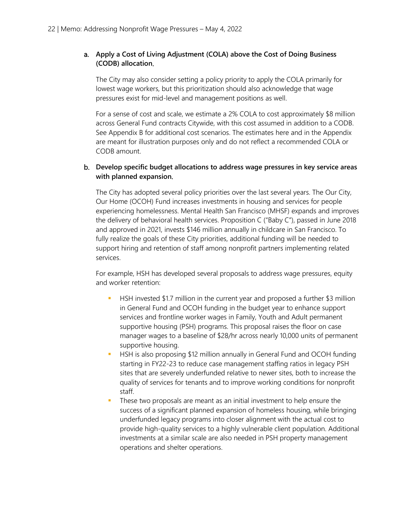#### a. **Apply a Cost of Living Adjustment (COLA) above the Cost of Doing Business (CODB) allocation**.

The City may also consider setting a policy priority to apply the COLA primarily for lowest wage workers, but this prioritization should also acknowledge that wage pressures exist for mid-level and management positions as well.

For a sense of cost and scale, we estimate a 2% COLA to cost approximately \$8 million across General Fund contracts Citywide, with this cost assumed in addition to a CODB. See Appendix B for additional cost scenarios. The estimates here and in the Appendix are meant for illustration purposes only and do not reflect a recommended COLA or CODB amount.

#### b. **Develop specific budget allocations to address wage pressures in key service areas with planned expansion**.

The City has adopted several policy priorities over the last several years. The Our City, Our Home (OCOH) Fund increases investments in housing and services for people experiencing homelessness. Mental Health San Francisco (MHSF) expands and improves the delivery of behavioral health services. Proposition C ("Baby C"), passed in June 2018 and approved in 2021, invests \$146 million annually in childcare in San Francisco. To fully realize the goals of these City priorities, additional funding will be needed to support hiring and retention of staff among nonprofit partners implementing related services.

For example, HSH has developed several proposals to address wage pressures, equity and worker retention:

- HSH invested \$1.7 million in the current year and proposed a further \$3 million in General Fund and OCOH funding in the budget year to enhance support services and frontline worker wages in Family, Youth and Adult permanent supportive housing (PSH) programs. This proposal raises the floor on case manager wages to a baseline of \$28/hr across nearly 10,000 units of permanent supportive housing.
- HSH is also proposing \$12 million annually in General Fund and OCOH funding starting in FY22-23 to reduce case management staffing ratios in legacy PSH sites that are severely underfunded relative to newer sites, both to increase the quality of services for tenants and to improve working conditions for nonprofit staff.
- These two proposals are meant as an initial investment to help ensure the success of a significant planned expansion of homeless housing, while bringing underfunded legacy programs into closer alignment with the actual cost to provide high-quality services to a highly vulnerable client population. Additional investments at a similar scale are also needed in PSH property management operations and shelter operations.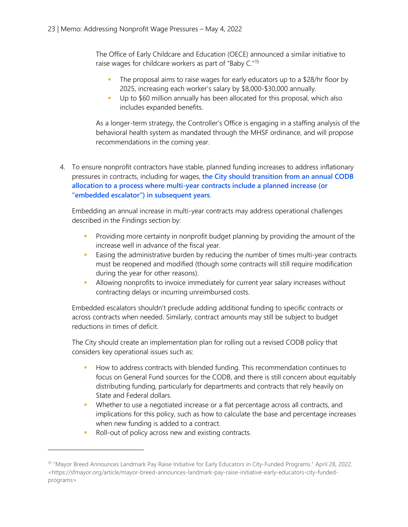The Office of Early Childcare and Education (OECE) announced a similar initiative to raise wages for childcare workers as part of "Baby C."[15](#page-22-0)

- The proposal aims to raise wages for early educators up to a \$28/hr floor by 2025, increasing each worker's salary by \$8,000-\$30,000 annually.
- Up to \$60 million annually has been allocated for this proposal, which also includes expanded benefits.

As a longer-term strategy, the Controller's Office is engaging in a staffing analysis of the behavioral health system as mandated through the MHSF ordinance, and will propose recommendations in the coming year.

4. To ensure nonprofit contractors have stable, planned funding increases to address inflationary pressures in contracts, including for wages, **the City should transition from an annual CODB allocation to a process where multi-year contracts include a planned increase (or "embedded escalator") in subsequent years**.

Embedding an annual increase in multi-year contracts may address operational challenges described in the Findings section by:

- **Providing more certainty in nonprofit budget planning by providing the amount of the** increase well in advance of the fiscal year.
- **Easing the administrative burden by reducing the number of times multi-year contracts** must be reopened and modified (though some contracts will still require modification during the year for other reasons).
- Allowing nonprofits to invoice immediately for current year salary increases without contracting delays or incurring unreimbursed costs.

Embedded escalators shouldn't preclude adding additional funding to specific contracts or across contracts when needed. Similarly, contract amounts may still be subject to budget reductions in times of deficit.

The City should create an implementation plan for rolling out a revised CODB policy that considers key operational issues such as:

- **How to address contracts with blended funding. This recommendation continues to** focus on General Fund sources for the CODB, and there is still concern about equitably distributing funding, particularly for departments and contracts that rely heavily on State and Federal dollars.
- **Whether to use a negotiated increase or a flat percentage across all contracts, and** implications for this policy, such as how to calculate the base and percentage increases when new funding is added to a contract.
- Roll-out of policy across new and existing contracts.

<span id="page-22-0"></span><sup>15</sup> "Mayor Breed Announces Landmark Pay Raise Initiative for Early Educators in City-Funded Programs." April 28, 2022. <https://sfmayor.org/article/mayor-breed-announces-landmark-pay-raise-initiative-early-educators-city-fundedprograms>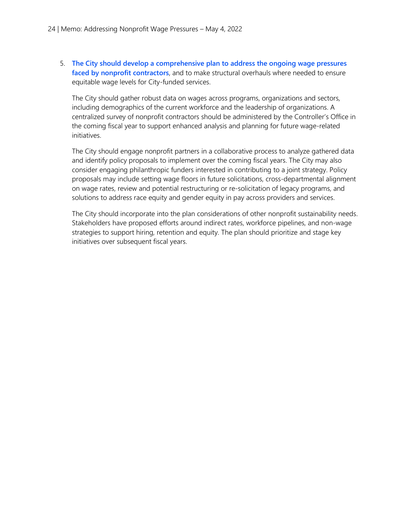5. **The City should develop a comprehensive plan to address the ongoing wage pressures faced by nonprofit contractors**, and to make structural overhauls where needed to ensure equitable wage levels for City-funded services.

The City should gather robust data on wages across programs, organizations and sectors, including demographics of the current workforce and the leadership of organizations. A centralized survey of nonprofit contractors should be administered by the Controller's Office in the coming fiscal year to support enhanced analysis and planning for future wage-related initiatives.

The City should engage nonprofit partners in a collaborative process to analyze gathered data and identify policy proposals to implement over the coming fiscal years. The City may also consider engaging philanthropic funders interested in contributing to a joint strategy. Policy proposals may include setting wage floors in future solicitations, cross-departmental alignment on wage rates, review and potential restructuring or re-solicitation of legacy programs, and solutions to address race equity and gender equity in pay across providers and services.

The City should incorporate into the plan considerations of other nonprofit sustainability needs. Stakeholders have proposed efforts around indirect rates, workforce pipelines, and non-wage strategies to support hiring, retention and equity. The plan should prioritize and stage key initiatives over subsequent fiscal years.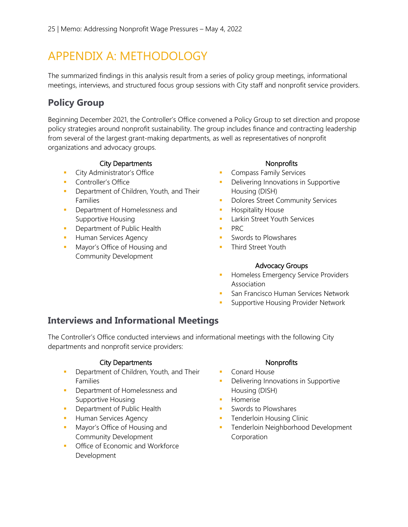# APPENDIX A: METHODOLOGY

The summarized findings in this analysis result from a series of policy group meetings, informational meetings, interviews, and structured focus group sessions with City staff and nonprofit service providers.

## **Policy Group**

Beginning December 2021, the Controller's Office convened a Policy Group to set direction and propose policy strategies around nonprofit sustainability. The group includes finance and contracting leadership from several of the largest grant-making departments, as well as representatives of nonprofit organizations and advocacy groups.

#### City Departments Nonprofits

- **City Administrator's Office**
- **Controller's Office**
- **Department of Children, Youth, and Their** Families
- **Department of Homelessness and** Supportive Housing
- **Department of Public Health**
- **Human Services Agency**
- **Mayor's Office of Housing and** Community Development

- **Compass Family Services**
- **Delivering Innovations in Supportive** Housing (DISH)
- **Dolores Street Community Services**
- **Hospitality House**
- **Larkin Street Youth Services**
- $\blacksquare$  PRC
- **Swords to Plowshares**
- **Third Street Youth**

#### Advocacy Groups

- **Homeless Emergency Service Providers** Association
- San Francisco Human Services Network
- Supportive Housing Provider Network

## **Interviews and Informational Meetings**

The Controller's Office conducted interviews and informational meetings with the following City departments and nonprofit service providers:

#### City Departments Nonprofits

- **Department of Children, Youth, and Their** Families
- **•** Department of Homelessness and Supportive Housing
- **Department of Public Health**
- **Human Services Agency**
- **Mayor's Office of Housing and** Community Development
- **Office of Economic and Workforce** Development

- **Conard House**
- **Delivering Innovations in Supportive** Housing (DISH)
- **Homerise**
- **Swords to Plowshares**
- **Tenderloin Housing Clinic**
- **Tenderloin Neighborhood Development Corporation**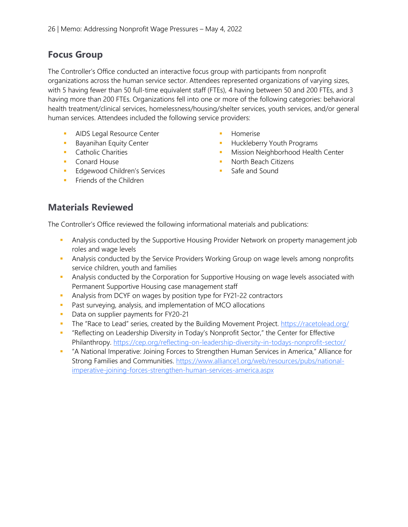## **Focus Group**

The Controller's Office conducted an interactive focus group with participants from nonprofit organizations across the human service sector. Attendees represented organizations of varying sizes, with 5 having fewer than 50 full-time equivalent staff (FTEs), 4 having between 50 and 200 FTEs, and 3 having more than 200 FTEs. Organizations fell into one or more of the following categories: behavioral health treatment/clinical services, homelessness/housing/shelter services, youth services, and/or general human services. Attendees included the following service providers:

- AIDS Legal Resource Center
- **Bayanihan Equity Center**
- **Catholic Charities**
- **Conard House**
- **Edgewood Children's Services**
- **Filter Friends of the Children**
- Homerise
- **Huckleberry Youth Programs**
- **Mission Neighborhood Health Center**
- **North Beach Citizens**
- Safe and Sound

## **Materials Reviewed**

The Controller's Office reviewed the following informational materials and publications:

- Analysis conducted by the Supportive Housing Provider Network on property management job roles and wage levels
- **Analysis conducted by the Service Providers Working Group on wage levels among nonprofits** service children, youth and families
- **Analysis conducted by the Corporation for Supportive Housing on wage levels associated with** Permanent Supportive Housing case management staff
- **Analysis from DCYF on wages by position type for FY21-22 contractors**
- **Past surveying, analysis, and implementation of MCO allocations**
- Data on supplier payments for FY20-21
- The "Race to Lead" series, created by the Building Movement Project.<https://racetolead.org/>
- " "Reflecting on Leadership Diversity in Today's Nonprofit Sector," the Center for Effective Philanthropy.<https://cep.org/reflecting-on-leadership-diversity-in-todays-nonprofit-sector/>
- "A National Imperative: Joining Forces to Strengthen Human Services in America," Alliance for Strong Families and Communities. [https://www.alliance1.org/web/resources/pubs/national](https://www.alliance1.org/web/resources/pubs/national-imperative-joining-forces-strengthen-human-services-america.aspx)[imperative-joining-forces-strengthen-human-services-america.aspx](https://www.alliance1.org/web/resources/pubs/national-imperative-joining-forces-strengthen-human-services-america.aspx)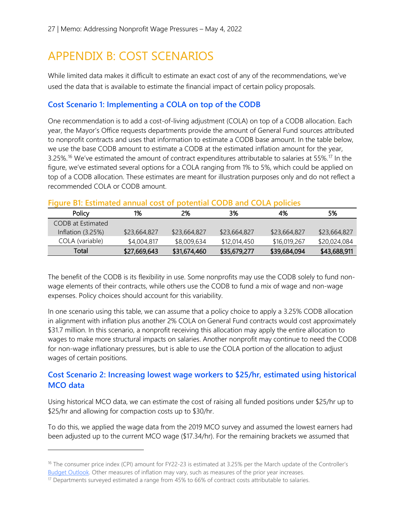# APPENDIX B: COST SCENARIOS

While limited data makes it difficult to estimate an exact cost of any of the recommendations, we've used the data that is available to estimate the financial impact of certain policy proposals.

#### **Cost Scenario 1: Implementing a COLA on top of the CODB**

One recommendation is to add a cost-of-living adjustment (COLA) on top of a CODB allocation. Each year, the Mayor's Office requests departments provide the amount of General Fund sources attributed to nonprofit contracts and uses that information to estimate a CODB base amount. In the table below, we use the base CODB amount to estimate a CODB at the estimated inflation amount for the year, 3.25%.<sup>[16](#page-26-0)</sup> We've estimated the amount of contract expenditures attributable to salaries at 55%.<sup>[17](#page-26-1)</sup> In the figure, we've estimated several options for a COLA ranging from 1% to 5%, which could be applied on top of a CODB allocation. These estimates are meant for illustration purposes only and do not reflect a recommended COLA or CODB amount.

#### **Figure B1: Estimated annual cost of potential CODB and COLA policies**

| Policy              | 1%           | 2%           | 3%           | 4%           | 5%           |
|---------------------|--------------|--------------|--------------|--------------|--------------|
| CODB at Estimated   |              |              |              |              |              |
| Inflation $(3.25%)$ | \$23,664,827 | \$23,664,827 | \$23,664,827 | \$23,664,827 | \$23,664,827 |
| COLA (variable)     | \$4,004,817  | \$8,009,634  | \$12,014,450 | \$16,019,267 | \$20,024,084 |
| Total               | \$27,669,643 | \$31,674,460 | \$35,679,277 | \$39,684,094 | \$43,688,911 |

The benefit of the CODB is its flexibility in use. Some nonprofits may use the CODB solely to fund nonwage elements of their contracts, while others use the CODB to fund a mix of wage and non-wage expenses. Policy choices should account for this variability.

In one scenario using this table, we can assume that a policy choice to apply a 3.25% CODB allocation in alignment with inflation plus another 2% COLA on General Fund contracts would cost approximately \$31.7 million. In this scenario, a nonprofit receiving this allocation may apply the entire allocation to wages to make more structural impacts on salaries. Another nonprofit may continue to need the CODB for non-wage inflationary pressures, but is able to use the COLA portion of the allocation to adjust wages of certain positions.

### **Cost Scenario 2: Increasing lowest wage workers to \$25/hr, estimated using historical MCO data**

Using historical MCO data, we can estimate the cost of raising all funded positions under \$25/hr up to \$25/hr and allowing for compaction costs up to \$30/hr.

To do this, we applied the wage data from the 2019 MCO survey and assumed the lowest earners had been adjusted up to the current MCO wage (\$17.34/hr). For the remaining brackets we assumed that

<span id="page-26-0"></span><sup>&</sup>lt;sup>16</sup> The consumer price index (CPI) amount for FY22-23 is estimated at 3.25% per the March update of the Controller's [Budget Outlook.](https://sfcontroller.org/sites/default/files/Documents/Budget/March%20Update%20FINAL.pdf) Other measures of inflation may vary, such as measures of the prior year increases.

<span id="page-26-1"></span> $17$  Departments surveyed estimated a range from 45% to 66% of contract costs attributable to salaries.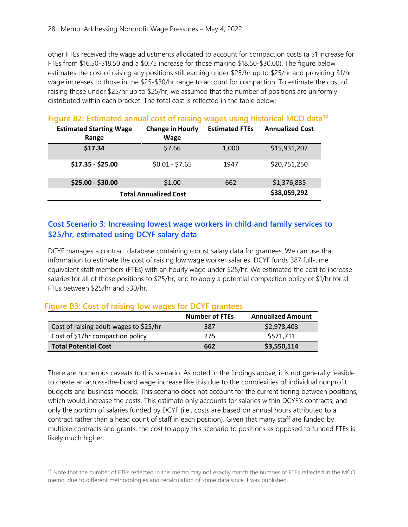other FTEs received the wage adjustments allocated to account for compaction costs (a \$1 increase for FTEs from \$16.50-\$18.50 and a \$0.75 increase for those making \$18.50-\$30.00). The figure below estimates the cost of raising any positions still earning under \$25/hr up to \$25/hr and providing \$1/hr wage increases to those in the \$25-\$30/hr range to account for compaction. To estimate the cost of raising those under \$25/hr up to \$25/hr, we assumed that the number of positions are uniformly distributed within each bracket. The total cost is reflected in the table below:

| <u>Fiuule DZ. EStilliated allitual COSCOI Taisillu</u> |                         |                       | wayes using mistuntal ivit of data |  |
|--------------------------------------------------------|-------------------------|-----------------------|------------------------------------|--|
| <b>Estimated Starting Wage</b>                         | <b>Change in Hourly</b> | <b>Estimated FTEs</b> | <b>Annualized Cost</b>             |  |
| Range                                                  | <b>Wage</b>             |                       |                                    |  |
| \$17.34                                                | \$7.66                  | 1,000                 | \$15,931,207                       |  |
| $$17.35 - $25.00$                                      | $$0.01 - $7.65$         | 1947                  | \$20,751,250                       |  |
| \$25.00 - \$30.00                                      | \$1.00                  | 662                   | \$1,376,835                        |  |
| <b>Total Annualized Cost</b>                           |                         | \$38,059,292          |                                    |  |

#### **Figure B2: Estimated annual cost of raising wages using historical MCO data[18](#page-27-0)**

#### **Cost Scenario 3: Increasing lowest wage workers in child and family services to \$25/hr, estimated using DCYF salary data**

DCYF manages a contract database containing robust salary data for grantees. We can use that information to estimate the cost of raising low wage worker salaries. DCYF funds 387 full-time equivalent staff members (FTEs) with an hourly wage under \$25/hr. We estimated the cost to increase salaries for all of those positions to \$25/hr, and to apply a potential compaction policy of \$1/hr for all FTEs between \$25/hr and \$30/hr.

#### **Figure B3: Cost of raising low wages for DCYF grantees**

|                                        | <b>Number of FTEs</b> | <b>Annualized Amount</b> |
|----------------------------------------|-----------------------|--------------------------|
| Cost of raising adult wages to \$25/hr | 387                   | \$2,978,403              |
| Cost of \$1/hr compaction policy       | 275                   | \$571,711                |
| <b>Total Potential Cost</b>            | 662                   | \$3,550,114              |

There are numerous caveats to this scenario. As noted in the findings above, it is not generally feasible to create an across-the-board wage increase like this due to the complexities of individual nonprofit budgets and business models. This scenario does not account for the current tiering between positions, which would increase the costs. This estimate only accounts for salaries within DCYF's contracts, and only the portion of salaries funded by DCYF (i.e., costs are based on annual hours attributed to a contract rather than a head count of staff in each position). Given that many staff are funded by multiple contracts and grants, the cost to apply this scenario to positions as opposed to funded FTEs is likely much higher.

<span id="page-27-0"></span><sup>&</sup>lt;sup>18</sup> Note that the number of FTEs reflected in this memo may not exactly match the number of FTEs reflected in the MCO memo, due to different methodologies and recalculation of some data since it was published.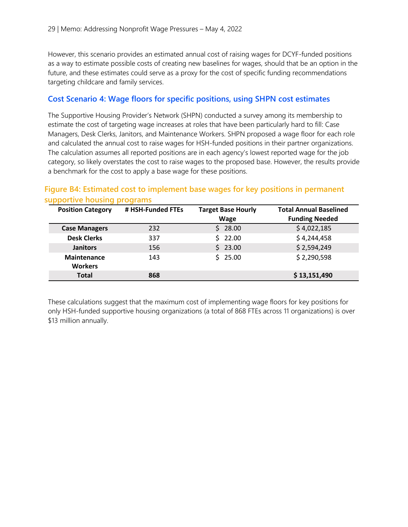However, this scenario provides an estimated annual cost of raising wages for DCYF-funded positions as a way to estimate possible costs of creating new baselines for wages, should that be an option in the future, and these estimates could serve as a proxy for the cost of specific funding recommendations targeting childcare and family services.

#### **Cost Scenario 4: Wage floors for specific positions, using SHPN cost estimates**

The Supportive Housing Provider's Network (SHPN) conducted a survey among its membership to estimate the cost of targeting wage increases at roles that have been particularly hard to fill: Case Managers, Desk Clerks, Janitors, and Maintenance Workers. SHPN proposed a wage floor for each role and calculated the annual cost to raise wages for HSH-funded positions in their partner organizations. The calculation assumes all reported positions are in each agency's lowest reported wage for the job category, so likely overstates the cost to raise wages to the proposed base. However, the results provide a benchmark for the cost to apply a base wage for these positions.

#### **Figure B4: Estimated cost to implement base wages for key positions in permanent supportive housing programs**

| <b>Position Category</b> | # HSH-Funded FTEs | <b>Target Base Hourly</b> | <b>Total Annual Baselined</b> |
|--------------------------|-------------------|---------------------------|-------------------------------|
|                          |                   | <b>Wage</b>               | <b>Funding Needed</b>         |
| <b>Case Managers</b>     | 232               | 28.00                     | \$4,022,185                   |
| <b>Desk Clerks</b>       | 337               | \$22.00                   | \$4,244,458                   |
| <b>Janitors</b>          | 156               | 23.00<br>S.               | \$2,594,249                   |
| <b>Maintenance</b>       | 143               | 25.00                     | \$2,290,598                   |
| <b>Workers</b>           |                   |                           |                               |
| <b>Total</b>             | 868               |                           | \$13,151,490                  |

These calculations suggest that the maximum cost of implementing wage floors for key positions for only HSH-funded supportive housing organizations (a total of 868 FTEs across 11 organizations) is over \$13 million annually.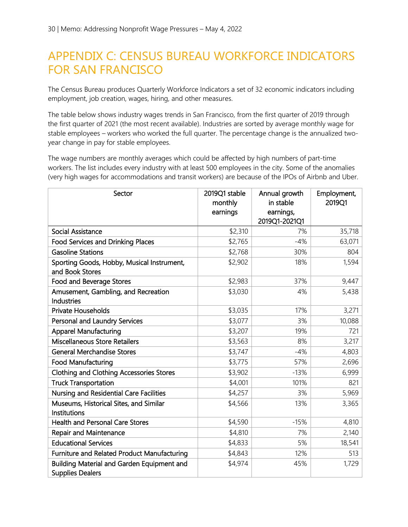# APPENDIX C: CENSUS BUREAU WORKFORCE INDICATORS FOR SAN FRANCISCO

The Census Bureau produces Quarterly Workforce Indicators a set of 32 economic indicators including employment, job creation, wages, hiring, and other measures.

The table below shows industry wages trends in San Francisco, from the first quarter of 2019 through the first quarter of 2021 (the most recent available). Industries are sorted by average monthly wage for stable employees – workers who worked the full quarter. The percentage change is the annualized twoyear change in pay for stable employees.

The wage numbers are monthly averages which could be affected by high numbers of part-time workers. The list includes every industry with at least 500 employees in the city. Some of the anomalies (very high wages for accommodations and transit workers) are because of the IPOs of Airbnb and Uber.

| Sector                                                                | 2019Q1 stable<br>monthly<br>earnings | Annual growth<br>in stable<br>earnings,<br>2019Q1-2021Q1 | Employment,<br>2019Q1 |
|-----------------------------------------------------------------------|--------------------------------------|----------------------------------------------------------|-----------------------|
| <b>Social Assistance</b>                                              | \$2,310                              | 7%                                                       | 35,718                |
| <b>Food Services and Drinking Places</b>                              | \$2,765                              | $-4%$                                                    | 63,071                |
| <b>Gasoline Stations</b>                                              | \$2,768                              | 30%                                                      | 804                   |
| Sporting Goods, Hobby, Musical Instrument,<br>and Book Stores         | \$2,902                              | 18%                                                      | 1,594                 |
| Food and Beverage Stores                                              | \$2,983                              | 37%                                                      | 9,447                 |
| Amusement, Gambling, and Recreation<br><b>Industries</b>              | \$3,030                              | 4%                                                       | 5,438                 |
| Private Households                                                    | \$3,035                              | 17%                                                      | 3,271                 |
| Personal and Laundry Services                                         | \$3,077                              | 3%                                                       | 10,088                |
| <b>Apparel Manufacturing</b>                                          | \$3,207                              | 19%                                                      | 721                   |
| <b>Miscellaneous Store Retailers</b>                                  | \$3,563                              | 8%                                                       | 3,217                 |
| <b>General Merchandise Stores</b>                                     | \$3,747                              | $-4%$                                                    | 4,803                 |
| <b>Food Manufacturing</b>                                             | \$3,775                              | 57%                                                      | 2,696                 |
| <b>Clothing and Clothing Accessories Stores</b>                       | \$3,902                              | $-13%$                                                   | 6,999                 |
| <b>Truck Transportation</b>                                           | \$4,001                              | 101%                                                     | 821                   |
| Nursing and Residential Care Facilities                               | \$4,257                              | 3%                                                       | 5,969                 |
| Museums, Historical Sites, and Similar<br>Institutions                | \$4,566                              | 13%                                                      | 3,365                 |
| <b>Health and Personal Care Stores</b>                                | \$4,590                              | $-15%$                                                   | 4,810                 |
| <b>Repair and Maintenance</b>                                         | \$4,810                              | 7%                                                       | 2,140                 |
| <b>Educational Services</b>                                           | \$4,833                              | 5%                                                       | 18,541                |
| Furniture and Related Product Manufacturing                           | \$4,843                              | 12%                                                      | 513                   |
| Building Material and Garden Equipment and<br><b>Supplies Dealers</b> | \$4,974                              | 45%                                                      | 1,729                 |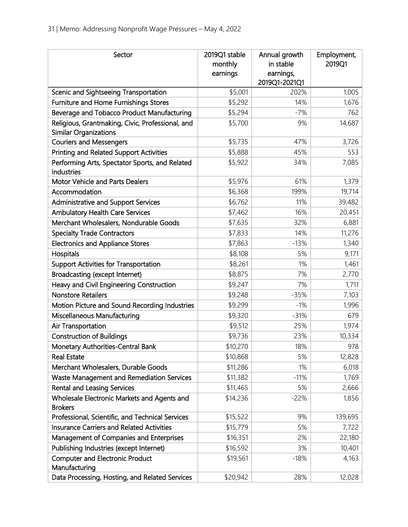| Sector                                                                           | 2019Q1 stable<br>monthly<br>earnings | Annual growth<br>in stable<br>earnings,<br>2019Q1-2021Q1 | Employment,<br>2019Q1 |
|----------------------------------------------------------------------------------|--------------------------------------|----------------------------------------------------------|-----------------------|
| Scenic and Sightseeing Transportation                                            | \$5,001                              | 202%                                                     | 1,005                 |
| Furniture and Home Furnishings Stores                                            | \$5,292                              | 14%                                                      | 1,676                 |
| Beverage and Tobacco Product Manufacturing                                       | \$5,294                              | $-7%$                                                    | 762                   |
| Religious, Grantmaking, Civic, Professional, and<br><b>Similar Organizations</b> | \$5,700                              | 9%                                                       | 14,687                |
| <b>Couriers and Messengers</b>                                                   | \$5,735                              | 47%                                                      | 3,726                 |
| <b>Printing and Related Support Activities</b>                                   | \$5,888                              | 45%                                                      | 553                   |
| Performing Arts, Spectator Sports, and Related<br>Industries                     | \$5,922                              | 34%                                                      | 7,085                 |
| <b>Motor Vehicle and Parts Dealers</b>                                           | \$5,976                              | 61%                                                      | 1,379                 |
| Accommodation                                                                    | \$6,368                              | 199%                                                     | 19,714                |
| Administrative and Support Services                                              | \$6,762                              | 11%                                                      | 39,482                |
| <b>Ambulatory Health Care Services</b>                                           | \$7,462                              | 16%                                                      | 20,451                |
| Merchant Wholesalers, Nondurable Goods                                           | \$7,635                              | 32%                                                      | 6,881                 |
| <b>Specialty Trade Contractors</b>                                               | \$7,833                              | 14%                                                      | 11,276                |
| <b>Electronics and Appliance Stores</b>                                          | \$7,863                              | $-13%$                                                   | 1,340                 |
| Hospitals                                                                        | \$8,108                              | 5%                                                       | 9,171                 |
| <b>Support Activities for Transportation</b>                                     | \$8,261                              | 1%                                                       | 1,461                 |
| <b>Broadcasting (except Internet)</b>                                            | \$8,875                              | 7%                                                       | 2,770                 |
| Heavy and Civil Engineering Construction                                         | \$9,247                              | 7%                                                       | 1,711                 |
| <b>Nonstore Retailers</b>                                                        | \$9,248                              | $-35%$                                                   | 7,103                 |
| Motion Picture and Sound Recording Industries                                    | \$9,299                              | $-1%$                                                    | 1,996                 |
| Miscellaneous Manufacturing                                                      | \$9,320                              | $-31%$                                                   | 679                   |
| Air Transportation                                                               | \$9,512                              | 25%                                                      | 1,974                 |
| <b>Construction of Buildings</b>                                                 | \$9,736                              | 23%                                                      | 10,334                |
| Monetary Authorities-Central Bank                                                | \$10,270                             | 18%                                                      | 978                   |
| <b>Real Estate</b>                                                               | \$10,868                             | 5%                                                       | 12,828                |
| Merchant Wholesalers, Durable Goods                                              | \$11,286                             | 1%                                                       | 6,018                 |
| Waste Management and Remediation Services                                        | \$11,382                             | $-11%$                                                   | 1,769                 |
| <b>Rental and Leasing Services</b>                                               | \$11,465                             | 5%                                                       | 2,666                 |
| Wholesale Electronic Markets and Agents and                                      | \$14,236                             | $-22%$                                                   | 1,856                 |
| <b>Brokers</b>                                                                   |                                      |                                                          |                       |
| Professional, Scientific, and Technical Services                                 | \$15,522                             | 9%                                                       | 139,695               |
| <b>Insurance Carriers and Related Activities</b>                                 | \$15,779                             | 5%                                                       | 7,722                 |
| Management of Companies and Enterprises                                          | \$16,351                             | 2%                                                       | 22,180                |
| Publishing Industries (except Internet)                                          | \$16,592                             | 3%                                                       | 10,401                |
| <b>Computer and Electronic Product</b><br>Manufacturing                          | \$19,561                             | $-18%$                                                   | 4,163                 |
| Data Processing, Hosting, and Related Services                                   | \$20,942                             | 28%                                                      | 12,028                |